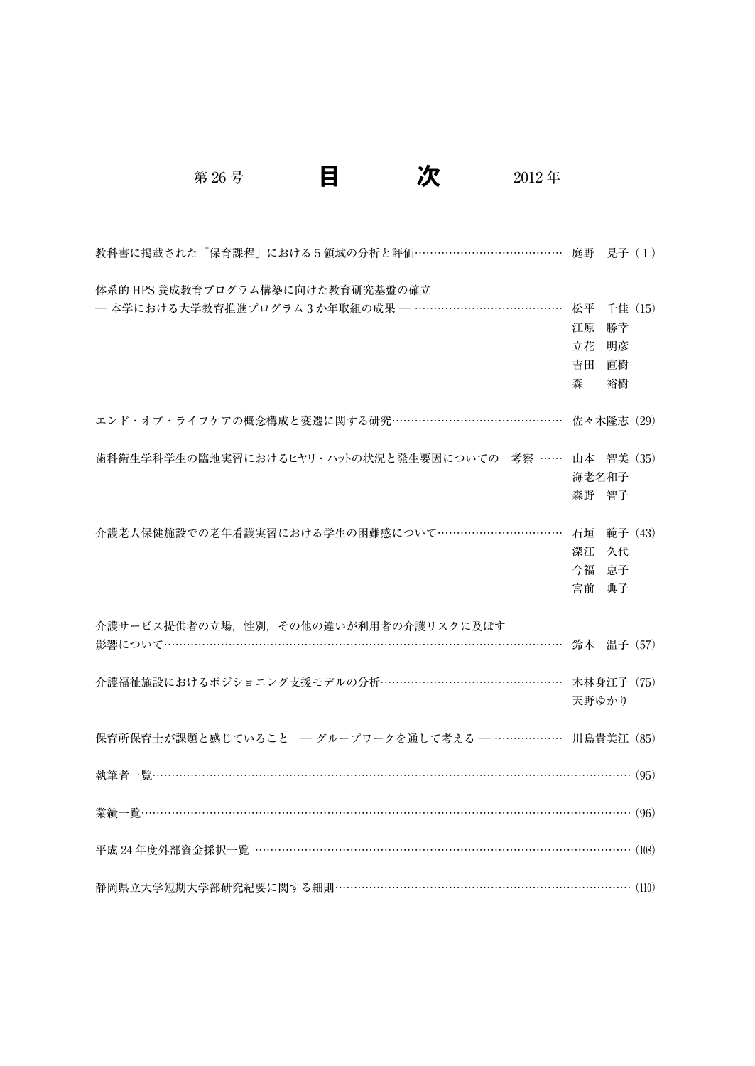| 教科書に掲載された「保育課程」における5領域の分析と評価…………………………………… 庭野 晃子 (1)     |            |    |  |
|----------------------------------------------------------|------------|----|--|
| 体系的 HPS 養成教育プログラム構築に向けた教育研究基盤の確立                         |            |    |  |
| - 本学における大学教育推進プログラム 3か年取組の成果 - …………………………………… 松平 千佳 (15) |            |    |  |
|                                                          | 江原         | 勝幸 |  |
|                                                          | 立花         | 明彦 |  |
|                                                          | 吉田         | 直樹 |  |
|                                                          | 森          | 裕樹 |  |
| エンド・オブ・ライフケアの概念構成と変遷に関する研究………………………………………                | 佐々木隆志 (29) |    |  |
| 歯科衛生学科学生の臨地実習におけるヒヤリ・ハットの状況と発生要因についての一考察 …… 山本 智美 (35)   |            |    |  |
|                                                          | 海老名和子      |    |  |
|                                                          | 森野 智子      |    |  |
|                                                          |            |    |  |
| 介護老人保健施設での老年看護実習における学生の困難感について…………………………… 石垣 範子 (43)     |            |    |  |
|                                                          | 深江 久代      |    |  |
|                                                          | 今福 恵子      |    |  |
|                                                          | 宮前 典子      |    |  |
| 介護サービス提供者の立場.性別.その他の違いが利用者の介護リスクに及ぼす                     |            |    |  |
|                                                          | 鈴木 温子 (57) |    |  |
| 介護福祉施設におけるポジショニング支援モデルの分析………………………………………… 木林身江子 (75)     |            |    |  |
|                                                          | 天野ゆかり      |    |  |
|                                                          |            |    |  |
| 保育所保育士が課題と感じていること - グループワークを通して考える - ……………… 川島貴美江 (85)   |            |    |  |
|                                                          |            |    |  |
|                                                          |            |    |  |
| 平成 24年度外部資金採択一覧 ………………………………………………………………………………………… (108) |            |    |  |
| 静岡県立大学短期大学部研究紀要に関する細則……………………………………………………………………… (110)   |            |    |  |

第 26 号 日 <mark>次</mark> 2012年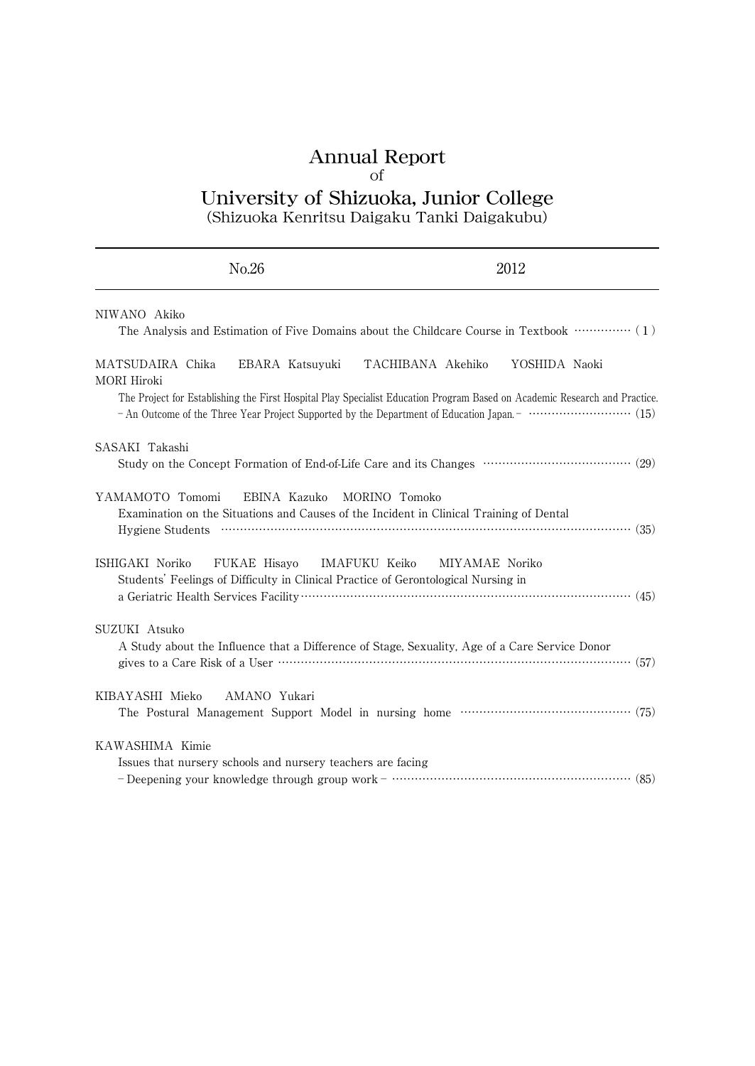# Annual Report of University of Shizuoka, Junior College

(Shizuoka Kenritsu Daigaku Tanki Daigakubu)

| No.26                                                                                                                      | 2012                                                                                                                                                                             |
|----------------------------------------------------------------------------------------------------------------------------|----------------------------------------------------------------------------------------------------------------------------------------------------------------------------------|
| NIWANO Akiko                                                                                                               | The Analysis and Estimation of Five Domains about the Childcare Course in Textbook …………… (1)                                                                                     |
| MATSUDAIRA Chika<br>MORI Hiroki                                                                                            | EBARA Katsuyuki TACHIBANA Akehiko<br>YOSHIDA Naoki<br>The Project for Establishing the First Hospital Play Specialist Education Program Based on Academic Research and Practice. |
|                                                                                                                            |                                                                                                                                                                                  |
| SASAKI Takashi                                                                                                             | Study on the Concept Formation of End-of-Life Care and its Changes ………………………………… (29)                                                                                            |
| YAMAMOTO Tomomi<br>EBINA Kazuko<br>Examination on the Situations and Causes of the Incident in Clinical Training of Dental | MORINO Tomoko<br>Hygiene Students (25)                                                                                                                                           |
| ISHIGAKI Noriko<br>Students' Feelings of Difficulty in Clinical Practice of Gerontological Nursing in                      | FUKAE Hisayo IMAFUKU Keiko MIYAMAE Noriko                                                                                                                                        |
| SUZUKI Atsuko                                                                                                              | A Study about the Influence that a Difference of Stage, Sexuality, Age of a Care Service Donor                                                                                   |
| AMANO Yukari<br>KIBAYASHI Mieko                                                                                            | The Postural Management Support Model in nursing home ………………………………………… (75)                                                                                                      |
| KAWASHIMA Kimie<br>Issues that nursery schools and nursery teachers are facing                                             | - Deepening your knowledge through group work - ……………………………………………………………………………………… (85)                                                                                           |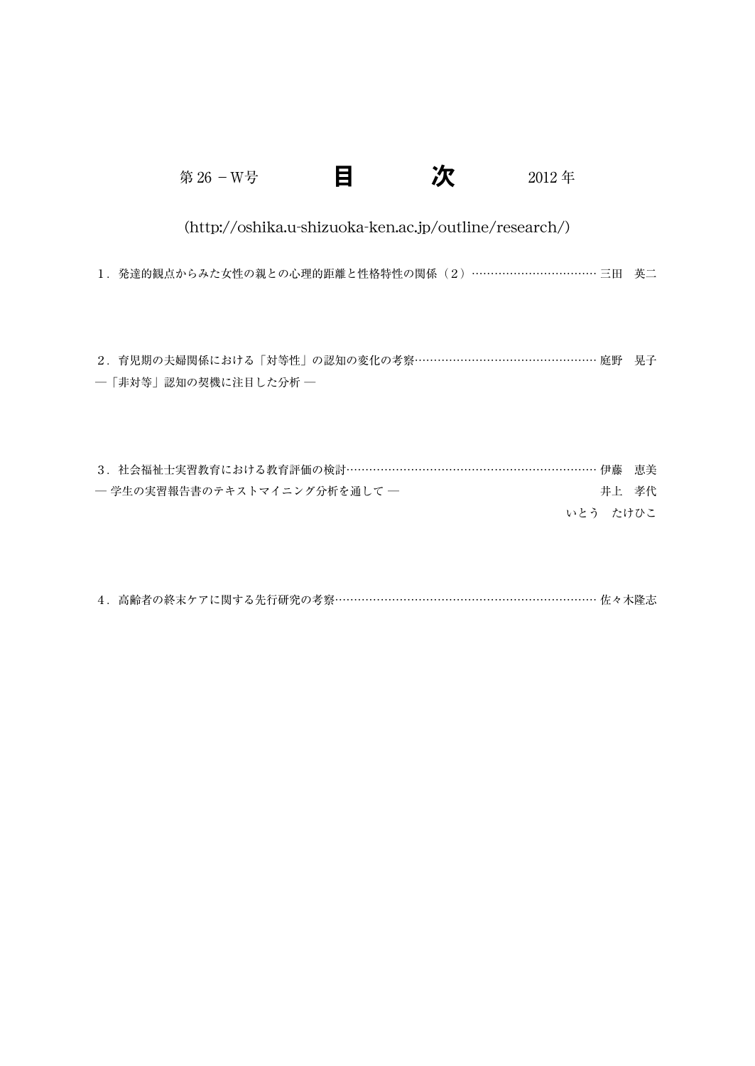| E<br>第 26 - W号<br>2012年                                                    |       |
|----------------------------------------------------------------------------|-------|
| (http://oshika.u-shizuoka-ken.ac.jp/outline/research/)                     |       |
| 1. 発達的観点からみた女性の親との心理的距離と性格特性の関係 (2) ……………………………… 三田 英二                     |       |
|                                                                            |       |
| 2.育児期の夫婦関係における「対等性」の認知の変化の考察………………………………………… 庭野 晃子<br>―「非対等」認知の契機に注目した分析 ― |       |
|                                                                            |       |
| 3. 社会福祉士実習教育における教育評価の検討………………………………………………………… 伊藤                           | 恵美    |
| - 学生の実習報告書のテキストマイニング分析を通して -                                               | 井上 孝代 |
| いとう たけひこ                                                                   |       |

| 4. 高齢者の終末ケアに関する先行研究の考察…………………………………………………………………佐々木隆志 |  |
|------------------------------------------------------|--|
|------------------------------------------------------|--|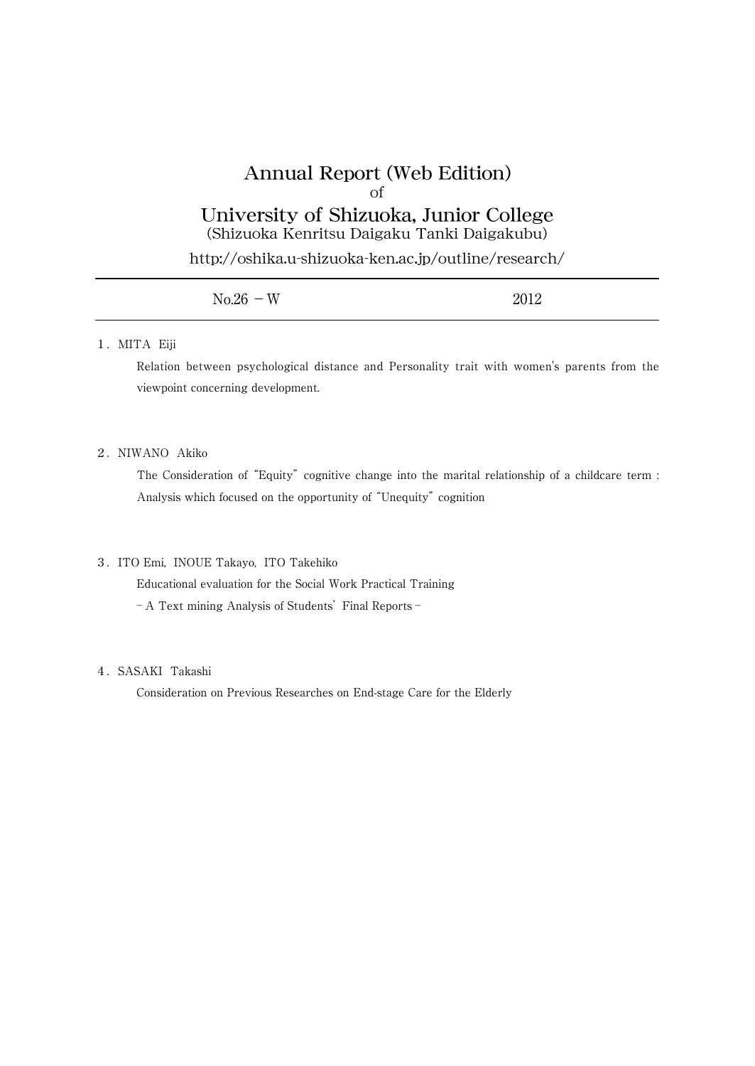# Annual Report (Web Edition) of

University of Shizuoka, Junior College (Shizuoka Kenritsu Daigaku Tanki Daigakubu)

http://oshika.u-shizuoka-ken.ac.jp/outline/research/

| $No.26 - W$ | 2012 |
|-------------|------|
|             |      |

#### 1.MITA Eiji

Relation between psychological distance and Personality trait with women's parents from the viewpoint concerning development.

# 2.NIWANO Akiko

The Consideration of "Equity" cognitive change into the marital relationship of a childcare term : Analysis which focused on the opportunity of "Unequity" cognition

### 3.ITO Emi, INOUE Takayo, ITO Takehiko

Educational evaluation for the Social Work Practical Training

- A Text mining Analysis of Students' Final Reports -

## 4.SASAKI Takashi

Consideration on Previous Researches on End-stage Care for the Elderly